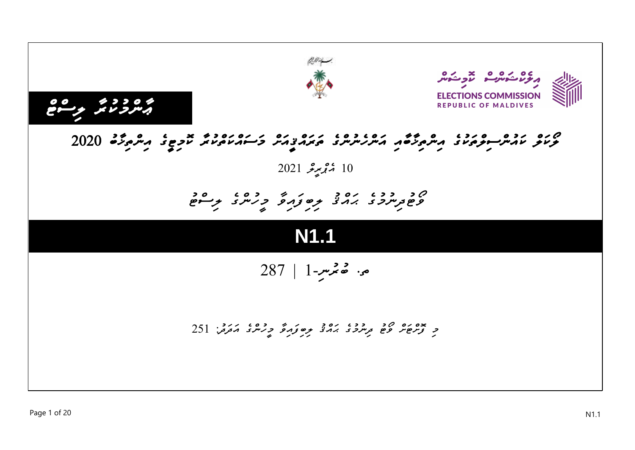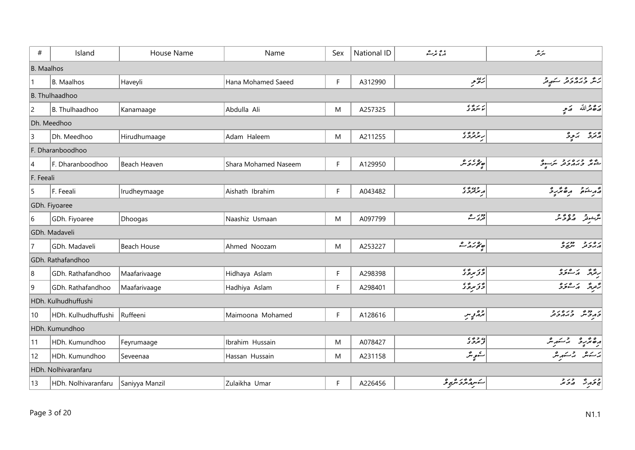| #          | Island                | House Name         | Name                        | Sex       | National ID | ، ه ، ره<br>پر ۽ برگ              | ىئرىتر                            |
|------------|-----------------------|--------------------|-----------------------------|-----------|-------------|-----------------------------------|-----------------------------------|
| B. Maalhos |                       |                    |                             |           |             |                                   |                                   |
|            | <b>B.</b> Maalhos     | Haveyli            | Hana Mohamed Saeed          | F         | A312990     | رەبىر                             | ر پر دره درد کرد و                |
|            | B. Thulhaadhoo        |                    |                             |           |             |                                   |                                   |
| 2          | <b>B.</b> Thulhaadhoo | Kanamaage          | Abdulla Ali                 | M         | A257325     | ر ريږ ،<br>ما سرچ ی               | برة قرالله كدمج                   |
|            | Dh. Meedhoo           |                    |                             |           |             |                                   |                                   |
| 3          | Dh. Meedhoo           | Hirudhumaage       | Adam Haleem                 | ${\sf M}$ | A211255     | ر ۶۶۶ و.<br>بر برترن <sub>ک</sub> | پره په په په په په په             |
|            | F. Dharanboodhoo      |                    |                             |           |             |                                   |                                   |
| 4          | F. Dharanboodhoo      | Beach Heaven       | <b>Shara Mohamed Naseem</b> | F         | A129950     | ھەمجە ئەھرىپىس                    | شر ورەرو برسو                     |
| F. Feeali  |                       |                    |                             |           |             |                                   |                                   |
| 5          | F. Feeali             | Irudheymaage       | Aishath Ibrahim             | F         | A043482     | و دره و بر<br>در مرفر و ک         | م مشور مقدرة                      |
|            | GDh. Fiyoaree         |                    |                             |           |             |                                   |                                   |
| 6          | GDh. Fiyoaree         | Dhoogas            | Naashiz Usmaan              | ${\sf M}$ | A097799     | ود پر ہے<br>تعریٰ مسکو            | نگرېنونر <i>م</i> فوق <i>نگر</i>  |
|            | GDh. Madaveli         |                    |                             |           |             |                                   |                                   |
|            | GDh. Madaveli         | <b>Beach House</b> | Ahmed Noozam                | ${\sf M}$ | A253227     | ە <i>ئادىر مى</i> گە              | ر ەر د<br>مەركى<br>دور ه<br>سرچ و |
|            | GDh. Rathafandhoo     |                    |                             |           |             |                                   |                                   |
| 8          | GDh. Rathafandhoo     | Maafarivaage       | Hidhaya Aslam               | F         | A298398     | و په په په په<br>د تومرو د        | ريويو كالمستوفر                   |
| 9          | GDh. Rathafandhoo     | Maafarivaage       | Hadhiya Aslam               | F         | A298401     | ۇ ئەسرەتى<br>ئ                    | ر په کار دره                      |
|            | HDh. Kulhudhuffushi   |                    |                             |           |             |                                   |                                   |
| 10         | HDh. Kulhudhuffushi   | Ruffeeni           | Maimoona Mohamed            | F         | A128616     | ره و مبر<br>  تروپر مبر           | ورود ورەرو                        |
|            | HDh. Kumundhoo        |                    |                             |           |             |                                   |                                   |
| 11         | HDh. Kumundhoo        | Feyrumaage         | Ibrahim Hussain             | M         | A078427     | ہ د د د د<br>او بور د             | دەنزرو برگېرىش<br>بەھىرىي برگېرىش |
| 12         | HDh. Kumundhoo        | Seveenaa           | Hassan Hussain              | M         | A231158     | ڪو <sub>ھي</sub> مٿر              |                                   |
|            | HDh. Nolhivaranfaru   |                    |                             |           |             |                                   |                                   |
| 13         | HDh. Nolhivaranfaru   | Saniyya Manzil     | Zulaikha Umar               | F         | A226456     | سەسە ئەر ئەر ئىچ                  | تحكير والمحافظ                    |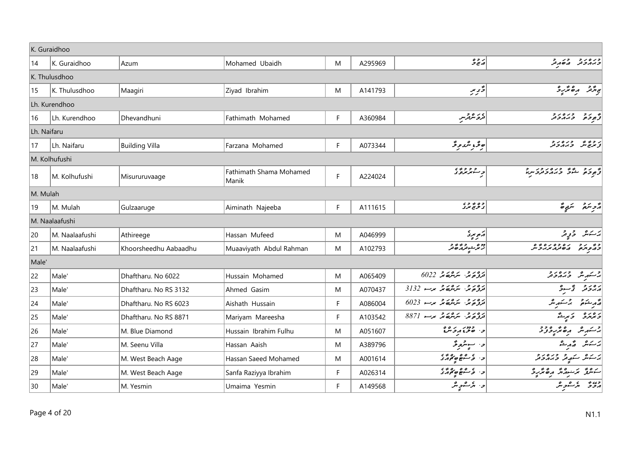|             | K. Guraidhoo   |                       |                                  |    |         |                                      |                                          |
|-------------|----------------|-----------------------|----------------------------------|----|---------|--------------------------------------|------------------------------------------|
| 14          | K. Guraidhoo   | Azum                  | Mohamed Ubaidh                   | M  | A295969 | ر و ه<br>در                          | כנסנכ כנב<br>כגמכת הסמת                  |
|             | K. Thulusdhoo  |                       |                                  |    |         |                                      |                                          |
| 15          | K. Thulusdhoo  | Maagiri               | Ziyad Ibrahim                    | M  | A141793 | اقحميس                               | ى ئۇنى بەھ ئۈر ئ                         |
|             | Lh. Kurendhoo  |                       |                                  |    |         |                                      |                                          |
| 16          | Lh. Kurendhoo  | Dhevandhuni           | Fathimath Mohamed                | F  | A360984 | ے پر 2 <sub>9م</sub> ربر             | و ره ر و<br><i>د ب</i> رگرفر<br>وٌجوحر و |
| Lh. Naifaru |                |                       |                                  |    |         |                                      |                                          |
| 17          | Lh. Naifaru    | <b>Building Villa</b> | Farzana Mohamed                  | F. | A073344 | ھۇدېشدە ۋ                            | ر وه شده در ور                           |
|             | M. Kolhufushi  |                       |                                  |    |         |                                      |                                          |
| 18          | M. Kolhufushi  | Misururuvaage         | Fathimath Shama Mohamed<br>Manik | F. | A224024 | د رحود د ده و                        | ه د د په دره د در د                      |
| M. Mulah    |                |                       |                                  |    |         |                                      |                                          |
| 19          | M. Mulah       | Gulzaaruge            | Aiminath Najeeba                 | F  | A111615 | و ه پر و ،<br>د نژيخ بود             | أأزجر سكتم أسكني فأ                      |
|             | M. Naalaafushi |                       |                                  |    |         |                                      |                                          |
| 20          | M. Naalaafushi | Athireege             | Hassan Mufeed                    | M  | A046999 | لرَمومورُ                            | يركتاش التاريخ                           |
| 21          | M. Naalaafushi | Khoorsheedhu Aabaadhu | Muaaviyath Abdul Rahman          | M  | A102793 | دده و در در در د<br>زیر شوتر در گاتر |                                          |
| Male'       |                |                       |                                  |    |         |                                      |                                          |
| 22          | Male'          | Dhaftharu. No 6022    | Hussain Mohamed                  | M  | A065409 | رەر يەر ئىر ئىق ئەزە                 | أير شهر المردور ورو                      |
| 23          | Male'          | Dhaftharu. No RS 3132 | Ahmed Gasim                      | M  | A070437 | رەرىم. سەھەم بىر 3132                | أرور ويحبوه                              |
| 24          | Male'          | Dhaftharu. No RS 6023 | Aishath Hussain                  | F  | A086004 | دەرىم. ئىر شەھ بىر - 6023            | ۇرىشى ئەسىر                              |
| 25          | Male'          | Dhaftharu. No RS 8871 | Mariyam Mareesha                 | F  | A103542 | رەرى ئەسكەن ئەسىر 8871               | ومره ويرت                                |
| 26          | Male'          | M. Blue Diamond       | Hussain Ibrahim Fulhu            | M  | A051607 | $\frac{1}{2}$                        | ج سکه شهر مهم محمد برخانه و د            |
| 27          | Male'          | M. Seenu Villa        | Hassan Aaish                     | M  | A389796 | ار. سېپى <i>توپ</i> ۇ                | يرَ سَدَسٌ مِيَّ مِي                     |
| 28          | Male'          | M. West Beach Aage    | Hassan Saeed Mohamed             | M  | A001614 | $5.9998 - 5.7$                       | ر کره مسکورتر و در در د                  |
| 29          | Male'          | M. West Beach Aage    | Sanfa Raziyya Ibrahim            | F. | A026314 | 5.9888263                            | היית ביינית נפינים                       |
| 30          | Male'          | M. Yesmin             | Umaima Yesmin                    | F. | A149568 | د. گرگوچر                            | وړره پر عامر شر                          |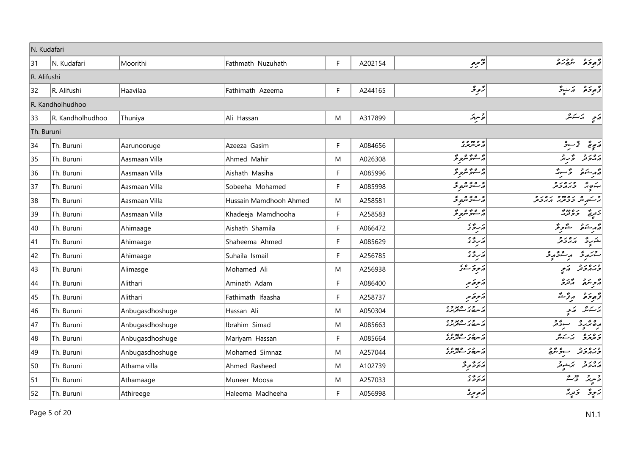| N. Kudafari |                  |                 |                        |             |         |                                           |                                      |
|-------------|------------------|-----------------|------------------------|-------------|---------|-------------------------------------------|--------------------------------------|
| 31          | N. Kudafari      | Moorithi        | Fathmath Nuzuhath      | $\mathsf F$ | A202154 | <br> ترسمر<br>                            | و دو دورو                            |
| R. Alifushi |                  |                 |                        |             |         |                                           |                                      |
| 32          | R. Alifushi      | Haavilaa        | Fathimath Azeema       | F           | A244165 | رحموقر                                    | قەدىق مەسىر                          |
|             | R. Kandholhudhoo |                 |                        |             |         |                                           |                                      |
| 33          | R. Kandholhudhoo | Thuniya         | Ali Hassan             | M           | A317899 | لمحسدكه                                   | أړنو برسکې                           |
| Th. Buruni  |                  |                 |                        |             |         |                                           |                                      |
| 34          | Th. Buruni       | Aarunooruge     | Azeeza Gasim           | F           | A084656 | ه و دو و ،<br>د سرسربری                   | ەڭ ئۆسىدە                            |
| 35          | Th. Buruni       | Aasmaan Villa   | Ahmed Mahir            | M           | A026308 | ا پر قسم محمد محمد محمد<br>المر سنگر محمد | برەر ئەربى                           |
| 36          | Th. Buruni       | Aasmaan Villa   | Aishath Masiha         | F           | A085996 | ۇ س <sup>ە</sup> جەش <sub>ھ</sub> ئە      | ومرشوم ومست                          |
| 37          | Th. Buruni       | Aasmaan Villa   | Sobeeha Mohamed        | F.          | A085998 | ۇ ھۇشرە ئە                                |                                      |
| 38          | Th. Buruni       | Aasmaan Villa   | Hussain Mamdhooh Ahmed | M           | A258581 | ۇ ئەۋ ئىرو ئە                             | و مسره ده ده دره دره                 |
| 39          | Th. Buruni       | Aasmaan Villa   | Khadeeja Mamdhooha     | F.          | A258583 | ۇ شۇشمۇ ئى                                | زَمرِيَّ وَوَمَرْرُ<br>تَ            |
| 40          | Th. Buruni       | Ahimaage        | Aishath Shamila        | F           | A066472 | ەردى                                      | ومرشو شروقه                          |
| 41          | Th. Buruni       | Ahimaage        | Shaheema Ahmed         | F           | A085629 | ەرچ                                       | شكرى كالمائدة                        |
| 42          | Th. Buruni       | Ahimaage        | Suhaila Ismail         | F           | A256785 | ەردى                                      | شتركرقى برستوكروفر                   |
| 43          | Th. Buruni       | Alimasge        | Mohamed Ali            | M           | A256938 | ړ پر ده په                                | ورەرو كەي                            |
| 44          | Th. Buruni       | Alithari        | Aminath Adam           | F           | A086400 | وكمرمونمر                                 | ړ ده په ده ده کر                     |
| 45          | Th. Buruni       | Alithari        | Fathimath Ifaasha      | F           | A258737 | وكمتوهومر                                 | ۇي <sub>و</sub> دۇ ب <sub>و</sub> ڙڭ |
| 46          | Th. Buruni       | Anbugasdhoshuge | Hassan Ali             | M           | A050304 | ر سرور ده بدو د<br>د سرچي سوترس           | يزكت كالمجامي                        |
| 47          | Th. Buruni       | Anbugasdhoshuge | Ibrahim Simad          | M           | A085663 | بر سرح در ۲۵ درج<br>برسرچای سنگورمری      | ە ھەترىر <sup>ە</sup><br>سىدۇ تىر    |
| 48          | Th. Buruni       | Anbugasdhoshuge | Mariyam Hassan         | F           | A085664 | ر سرچ ر صور و ۽<br>هرس ڪوٽر سرچ           | رەرە يەسەر                           |
| 49          | Th. Buruni       | Anbugasdhoshuge | Mohamed Simnaz         | M           | A257044 | ر سرچر وړي.<br>د سرچي سوترس               | כנסנכ הפית<br>כגובת הפית             |
| 50          | Th. Buruni       | Athama villa    | Ahmed Rasheed          | M           | A102739 | لأعرقه عرقحه                              | أرور والمنافي                        |
| 51          | Th. Buruni       | Athamaage       | Muneer Moosa           | M           | A257033 | ر ر د »<br>پره د د                        | و سرچر اور م                         |
| 52          | Th. Buruni       | Athireege       | Haleema Madheeha       | F.          | A056998 | ړ <sub>هو مور</sub> ي<br>م                | رَ وَ وَ وَ دِ                       |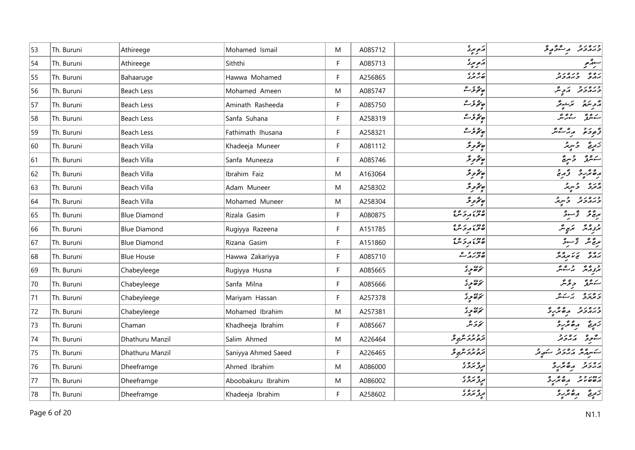| 53 | Th. Buruni | Athireege           | Mohamed Ismail      | M  | A085712 | ر<br>مرمومور                    | ورەرو بەسكەنگ                    |
|----|------------|---------------------|---------------------|----|---------|---------------------------------|----------------------------------|
| 54 | Th. Buruni | Athireege           | Siththi             | F. | A085713 | ر<br>مرموسو بر                  | سورهمو                           |
| 55 | Th. Buruni | Bahaaruge           | Hawwa Mohamed       | F. | A256865 | ەشەدە                           | ره دره در د<br>برادگر در در      |
| 56 | Th. Buruni | <b>Beach Less</b>   | Mohamed Ameen       | M  | A085747 | <br>  په ټوکر ک                 | ورەرو كەچىگ                      |
| 57 | Th. Buruni | <b>Beach Less</b>   | Aminath Rasheeda    | F. | A085750 | <br>  په ټوکر ک                 | أروسكو<br>ىخرىشىەتىگر            |
| 58 | Th. Buruni | <b>Beach Less</b>   | Sanfa Suhana        | F  | A258319 | <br>  په ټوکر ک                 | سەھەر ئەسىر                      |
| 59 | Th. Buruni | <b>Beach Less</b>   | Fathimath Ihusana   | F  | A258321 | ە ئۇغرىشە<br>ئ <sup>ە</sup>     | توجوحو برراشتر                   |
| 60 | Th. Buruni | <b>Beach Villa</b>  | Khadeeja Muneer     | F  | A081112 | ە ئ <sup>ۇ</sup> بوڭر           | دَىرِيَّ دُىرِيْر                |
| 61 | Th. Buruni | <b>Beach Villa</b>  | Sanfa Muneeza       | F  | A085746 | ە پەھ بەقە<br>ئ                 | سەئەر                            |
| 62 | Th. Buruni | <b>Beach Villa</b>  | Ibrahim Faiz        | M  | A163064 | ە ئۇرۇ.<br>ئ <sup>ە</sup>       | تر مرج<br>ەرھ ئ <sup>ۆ</sup> ر ۋ |
| 63 | Th. Buruni | <b>Beach Villa</b>  | Adam Muneer         | M  | A258302 | <br> چ <sup>ر</sup> گرمرمگر     | وره وسرچ                         |
| 64 | Th. Buruni | <b>Beach Villa</b>  | Mohamed Muneer      | M  | A258304 | <br> چ <sup>رچ</sup> ورځه       | ورەرو وسرچ                       |
| 65 | Th. Buruni | <b>Blue Diamond</b> | Rizala Gasim        | F  | A080875 |                                 | ىرىج ئۇ سۇر ھ                    |
| 66 | Th. Buruni | <b>Blue Diamond</b> | Rugiyya Razeena     | F  | A151785 | ە «بر بەر ئەر                   | ترتومه تكويتر                    |
| 67 | Th. Buruni | <b>Blue Diamond</b> | Rizana Gasim        | F  | A151860 | ەددىر بەرە<br>ھىرى بىر جىسى     | برىج تىگە قۇسوۋ                  |
| 68 | Th. Buruni | <b>Blue House</b>   | Hawwa Zakariyya     | F  | A085710 | ە دور دې<br>ھنزىر بە            |                                  |
| 69 | Th. Buruni | Chabeyleege         | Rugiyya Husna       | F  | A085665 | ريء<br>کوھڻو پر                 | بر مشرمتر<br>لمرتور مر           |
| 70 | Th. Buruni | Chabeyleege         | Sanfa Milna         | F. | A085666 | ري ء<br>کوھ <del>پ</del> ر د    | سەمىر جەمگە                      |
| 71 | Th. Buruni | Chabeyleege         | Mariyam Hassan      | F  | A257378 | ري د<br>کوه مړي                 | رەرە بەسكىر                      |
| 72 | Th. Buruni | Chabeyleege         | Mohamed Ibrahim     | M  | A257381 | ری د ؟<br>کوه د د               | כמתכת תפתיכ                      |
| 73 | Th. Buruni | Chaman              | Khadheeja Ibrahim   | F  | A085667 | ىمۇر بىر                        | ترميعٌ معصرٌ و                   |
| 74 | Th. Buruni | Dhathuru Manzil     | Salim Ahmed         | M  | A226464 | ر د در ه ه پوځ                  | گرو پره دو                       |
| 75 | Th. Buruni | Dhathuru Manzil     | Saniyya Ahmed Saeed | F  | A226465 | <br>  تره مرد شر <sub>ی</sub> و | سكيرما مارد و سكر مركز           |
| 76 | Th. Buruni | Dheeframge          | Ahmed Ibrahim       | M  | A086000 | دره بره ۶<br>پروترو د           | גם גם הפיתים                     |
| 77 | Th. Buruni | Dheeframge          | Aboobakuru Ibrahim  | M  | A086002 | <sub>مو</sub> ثو ترو ء          | ە ھەترىرى<br>برھەترىرى<br>77777  |
| 78 | Th. Buruni | Dheeframge          | Khadeeja Ibrahim    | F  | A258602 | و د ه د ه<br>پرتو برو د         | كزمرقح وكالحرار                  |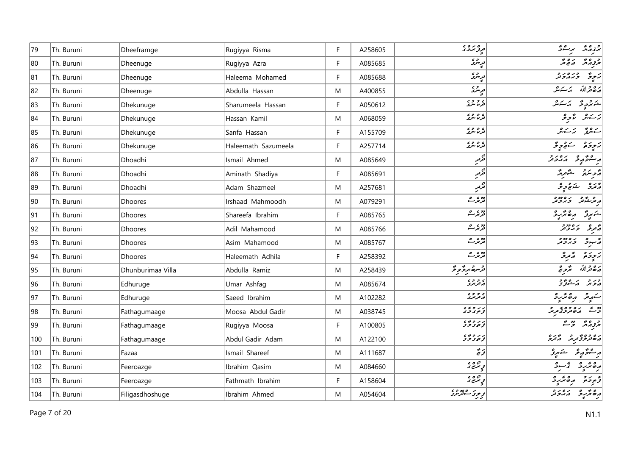| 79  | Th. Buruni | Dheeframge        | Rugiyya Risma       | F         | A258605 | در ژبر ژبر ژ                               | $rac{20}{7}$ $rac{20}{7}$                    |
|-----|------------|-------------------|---------------------|-----------|---------|--------------------------------------------|----------------------------------------------|
| 80  | Th. Buruni | Dheenuge          | Rugiyya Azra        | F         | A085685 | ورىژى<br>ئىچ                               | برومهر مره بر                                |
| 81  | Th. Buruni | Dheenuge          | Haleema Mohamed     | F         | A085688 | ورىژى<br>ئوسرىد                            | يزود ورودو                                   |
| 82  | Th. Buruni | Dheenuge          | Abdulla Hassan      | M         | A400855 | ورىژى<br>ئىچ                               | مَدْهُ مِّرَاللَّهُ بَرَسَوْسُ               |
| 83  | Th. Buruni | Dhekunuge         | Sharumeela Hassan   | F         | A050612 | ړ و و ،<br>تور مسری                        | شەيرىپەتتى كەسكىلار                          |
| 84  | Th. Buruni | Dhekunuge         | Hassan Kamil        | ${\sf M}$ | A068059 | ړ <i>د</i> د ›<br>تر را سربۍ               | ير سند المع و محر و                          |
| 85  | Th. Buruni | Dhekunuge         | Sanfa Hassan        | F         | A155709 | ء و و ء<br>تور سری                         | سەھەت برسەھ                                  |
| 86  | Th. Buruni | Dhekunuge         | Haleemath Sazumeela | F         | A257714 | ړ <i>د</i> و ،<br>تور مسر                  | پر پر د پر پر پر پر                          |
| 87  | Th. Buruni | Dhoadhi           | Ismail Ahmed        | ${\sf M}$ | A085649 | ثرىر                                       | وستوفي وبالملح                               |
| 88  | Th. Buruni | Dhoadhi           | Aminath Shadiya     | F         | A085691 | ج<br>مومر                                  |                                              |
| 89  | Th. Buruni | Dhoadhi           | Adam Shazmeel       | ${\sf M}$ | A257681 | ە<br>مۇمر                                  | ورو ځوړونو                                   |
| 90  | Th. Buruni | <b>Dhoores</b>    | Irshaad Mahmoodh    | M         | A079291 | ود ۽ ه                                     | د و د و د و و و و و<br>د پرشگور سن و بر و تر |
| 91  | Th. Buruni | <b>Dhoores</b>    | Shareefa Ibrahim    | F         | A085765 | ود ۽ ه                                     | $rac{1}{2}$                                  |
| 92  | Th. Buruni | <b>Dhoores</b>    | Adil Mahamood       | ${\sf M}$ | A085766 | ود ۽ ه<br>تريمر ڪ                          | ه و ده دود<br>مگرگر محدولا                   |
| 93  | Th. Buruni | <b>Dhoores</b>    | Asim Mahamood       | M         | A085767 | ود ۽ ه<br>تريمر ڪ                          | و ده دورو<br>مگسور کردند                     |
| 94  | Th. Buruni | <b>Dhoores</b>    | Haleemath Adhila    | F         | A258392 | ود ۽ ه                                     | برَجِرَةٌ الرَّمَرِيَّ                       |
| 95  | Th. Buruni | Dhunburimaa Villa | Abdulla Ramiz       | ${\sf M}$ | A258439 | قرسمة مرتزًا وتحر                          | <mark>بر22</mark> الله<br>بمَّرْحِ مَحْ      |
| 96  | Th. Buruni | Edhuruge          | Umar Ashfag         | M         | A085674 | ے و و ے<br>پر تعری                         | ور و ده وو<br>  پرېر پرېشورنې                |
| 97  | Th. Buruni | Edhuruge          | Saeed Ibrahim       | ${\sf M}$ | A102282 | ے و و ۽<br>پر تعري                         | سوپر ره پر د                                 |
| 98  | Th. Buruni | Fathagumaage      | Moosa Abdul Gadir   | M         | A038745 | در د د د<br>  تی بر تر د                   | دو مده ده وه پور د<br>در شهر مدارد در مد     |
| 99  | Th. Buruni | Fathagumaage      | Rugiyya Moosa       | F         | A100805 | ر ر د د »<br>زه د ر د                      | بر <sub>و</sub> مبر ورم                      |
| 100 | Th. Buruni | Fathagumaage      | Abdul Gadir Adam    | M         | A122100 | ر ر د د »<br>زه د ر د                      | ره وه د بر د دره<br>مان فرغز درمد مانده      |
| 101 | Th. Buruni | Fazaa             | Ismail Shareef      | ${\sf M}$ | A111687 | ترتج                                       | ر شۇر ئىير                                   |
| 102 | Th. Buruni | Feeroazge         | Ibrahim Qasim       | ${\sf M}$ | A084660 | و ۵ ۵ م<br>پ <sub>و</sub> ټرې <sub>ک</sub> |                                              |
| 103 | Th. Buruni | Feeroazge         | Fathmath Ibrahim    | F         | A158604 | و چې د <sup>ء</sup>                        |                                              |
| 104 | Th. Buruni | Filigasdhoshuge   | Ibrahim Ahmed       | ${\sf M}$ | A054604 | اړ پرې ص <sub>ل</sub> ورۍ<br>لرمړنۍ سورېږي |                                              |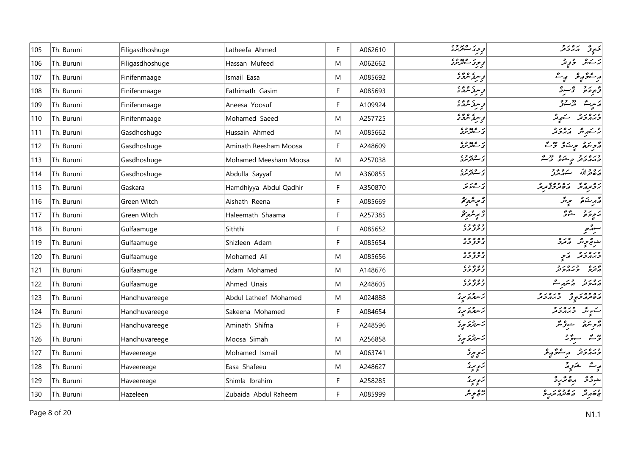| 105 | Th. Buruni | Filigasdhoshuge | Latheefa Ahmed         | F         | A062610 | پورې شود دي<br>  په موس                            | كموكل مرور و                      |
|-----|------------|-----------------|------------------------|-----------|---------|----------------------------------------------------|-----------------------------------|
| 106 | Th. Buruni | Filigasdhoshuge | Hassan Mufeed          | M         | A062662 | د موړې ده پوه دي                                   | پرستمبر الاقرانی                  |
| 107 | Th. Buruni | Finifenmaage    | Ismail Easa            | ${\sf M}$ | A085692 | رسر د عروج<br>  بر سر د سرچ د                      | برحۇم ئەس                         |
| 108 | Th. Buruni | Finifenmaage    | Fathimath Gasim        | F         | A085693 | اوسو معدد                                          | و دو ځې                           |
| 109 | Th. Buruni | Finifenmaage    | Aneesa Yoosuf          | F         | A109924 | <i>و</i> سرو مردی                                  | ړ <sub>سر</sub> يئے دور وہ<br>د پ |
| 110 | Th. Buruni | Finifenmaage    | Mohamed Saeed          | M         | A257725 | و سرو مرچ د                                        | ورەرو سەر                         |
| 111 | Th. Buruni | Gasdhoshuge     | Hussain Ahmed          | ${\sf M}$ | A085662 | ر ۔ 2 پو و <sup>ی</sup><br>ک سس <sup>و</sup> تر در | بر شهر شهر بره در د               |
| 112 | Th. Buruni | Gasdhoshuge     | Aminath Reesham Moosa  | F         | A248609 | ر ۔ صوبے<br>ی سستمرین                              | أأدوسها المراسور والمستحر         |
| 113 | Th. Buruni | Gasdhoshuge     | Mohamed Meesham Moosa  | ${\sf M}$ | A257038 | ر ۔ صوبے<br>ی سستمرین                              | ورەرو پەشكى تۇن                   |
| 114 | Th. Buruni | Gasdhoshuge     | Abdulla Sayyaf         | M         | A360855 | ر رہ پو و ،<br>کا سنگرمزی                          | پەھ قراللە كەرمۇر                 |
| 115 | Th. Buruni | Gaskara         | Hamdhiyya Abdul Qadhir | F         | A350870 | ى سەرىمىر                                          | גפנגית גם כסובניק                 |
| 116 | Th. Buruni | Green Witch     | Aishath Reena          | F         | A085669 | د س <sub>ي</sub> سر <sub>عر</sub> جو               |                                   |
| 117 | Th. Buruni | Green Witch     | Haleemath Shaama       | F         | A257385 | وسيتفريخ                                           |                                   |
| 118 | Th. Buruni | Gulfaamuge      | Siththi                | F         | A085652 | د ه و د د ،<br>د ترتر تر د                         | سودھو                             |
| 119 | Th. Buruni | Gulfaamuge      | Shizleen Adam          | F         | A085654 | د ه و و ء<br>د ترتو د د                            | ے چی پی گھرو                      |
| 120 | Th. Buruni | Gulfaamuge      | Mohamed Ali            | M         | A085656 | د ه و د د ،<br>د ترگر د د                          | ورەر د كەي                        |
| 121 | Th. Buruni | Gulfaamuge      | Adam Mohamed           | M         | A148676 | د ه و و ،<br>د ترتو تر د                           | وره وره رو<br>محمد وبرمان         |
| 122 | Th. Buruni | Gulfaamuge      | Ahmed Unais            | M         | A248605 | د ه و د د ،<br>د ترگر د د                          | أمهوم وتمدع                       |
| 123 | Th. Buruni | Handhuvareege   | Abdul Latheef Mohamed  | M         | A024888 | ئەسەقرىرىسىچ                                       | גפרפר כלחבת                       |
| 124 | Th. Buruni | Handhuvareege   | Sakeena Mohamed        | F         | A084654 | ئەسە <i>تى كى</i> رى                               | سكي ورەرد                         |
| 125 | Th. Buruni | Handhuvareege   | Aminath Shifna         | F         | A248596 | ر سرچر <sub>سر</sub> م<br>سرچر <i>ی م</i> ر پر     | مەھرىكى ھۆرىگە                    |
| 126 | Th. Buruni | Handhuvareege   | Moosa Simah            | ${\sf M}$ | A256858 | ئەسە <i>تى ئې</i> رى                               | $25 - 27$                         |
| 127 | Th. Buruni | Haveereege      | Mohamed Ismail         | ${\sf M}$ | A063741 | ر<br>سوپېرو                                        |                                   |
| 128 | Th. Buruni | Haveereege      | Easa Shafeeu           | ${\sf M}$ | A248627 | ر<br>سوپېرو                                        | أيرت التكوير                      |
| 129 | Th. Buruni | Haveereege      | Shimla Ibrahim         | F         | A258285 | ر<br>سره مور                                       | جود وه پر د                       |
| 130 | Th. Buruni | Hazeleen        | Zubaida Abdul Raheem   | F         | A085999 | ا شع پر مر<br>                                     | בנגל גם בסברים                    |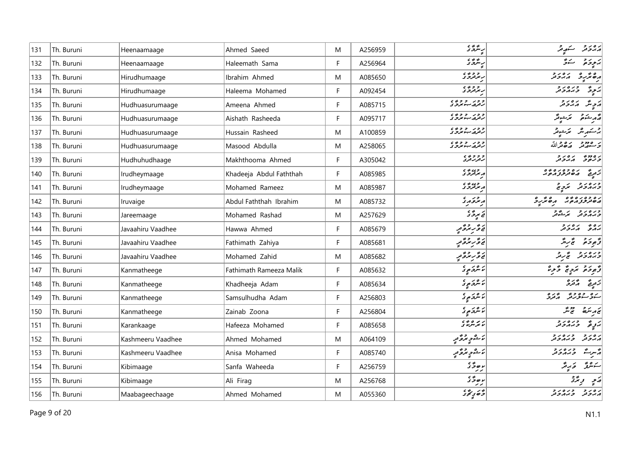| 131 | Th. Buruni | Heenaamaage       | Ahmed Saeed             | M           | A256959 | ر پڙھ ي<br>پيدا                              | دەرە ئەرە                                                                                                           |
|-----|------------|-------------------|-------------------------|-------------|---------|----------------------------------------------|---------------------------------------------------------------------------------------------------------------------|
| 132 | Th. Buruni | Heenaamaage       | Haleemath Sama          | E           | A256964 | ر پر پر دي<br>پر پنر <del>ه</del> د          | برودة سنة                                                                                                           |
| 133 | Th. Buruni | Hirudhumaage      | Ibrahim Ahmed           | M           | A085650 | ر و و و ء<br>ر برترو <sub>ک</sub>            |                                                                                                                     |
| 134 | Th. Buruni | Hirudhumaage      | Haleema Mohamed         | F           | A092454 | ر و و د »<br>ر بوتور و                       | و رە ر د<br><i>د ب</i> رگەر<br>بزيرة                                                                                |
| 135 | Th. Buruni | Hudhuasurumaage   | Ameena Ahmed            | F           | A085715 | و و ر ۔ و و » »<br>رتور سیونوی               | ړې پره ده                                                                                                           |
| 136 | Th. Buruni | Hudhuasurumaage   | Aishath Rasheeda        | $\mathsf F$ | A095717 | و و ر ۔ و و پی<br>رتو <sub>د</sub> ه سومرو ی | لأرشكني المرشوقر                                                                                                    |
| 137 | Th. Buruni | Hudhuasurumaage   | Hussain Rasheed         | M           | A100859 | و و ر ۔ و و پی<br>رتو <sub>د</sub> ه سومرو ی | برسكير مكر الكرامية وتر                                                                                             |
| 138 | Th. Buruni | Hudhuasurumaage   | Masood Abdulla          | M           | A258065 | و و ر ۔ و و پی<br>رتو <sub>د</sub> ه سومرو ی | وسعدو ره والله                                                                                                      |
| 139 | Th. Buruni | Hudhuhudhaage     | Makhthooma Ahmed        | F           | A305042 | و و و د  ،<br>ر تور تو <u>،</u>              |                                                                                                                     |
| 140 | Th. Buruni | Irudheymaage      | Khadeeja Abdul Faththah | $\mathsf F$ | A085985 | و ده و د و<br>در موتور و د                   | ر د ده ده ده ده و <del>ده</del>                                                                                     |
| 141 | Th. Buruni | Irudheymaage      | Mohamed Rameez          | M           | A085987 | و پره پر بر<br>در موتور پ                    | כנסנב הבי                                                                                                           |
| 142 | Th. Buruni | Iruvaige          | Abdul Faththah Ibrahim  | M           | A085732 | وبرءرء                                       |                                                                                                                     |
| 143 | Th. Buruni | Jareemaage        | Mohamed Rashad          | M           | A257629 | ر<br>نج مورگر                                | ورەر د برخود<br><i>وبەم</i> وتر برخگ                                                                                |
| 144 | Th. Buruni | Javaahiru Vaadhee | Hawwa Ahmed             | $\mathsf F$ | A085679 | <br>  نے قر <sup>م</sup> ر برقر مرِ          | ره پره رو<br>پهري مدرونر                                                                                            |
| 145 | Th. Buruni | Javaahiru Vaadhee | Fathimath Zahiya        | F           | A085681 | ر و بر و و بر<br>د کار برگامه                | قهوختم لمحررة                                                                                                       |
| 146 | Th. Buruni | Javaahiru Vaadhee | Mohamed Zahid           | M           | A085682 | ر و گر برگرو<br>د گر برگرو                   |                                                                                                                     |
| 147 | Th. Buruni | Kanmatheege       | Fathimath Rameeza Malik | F           | A085632 | بز مركز موبر                                 | توجوحو برديج وحرم                                                                                                   |
| 148 | Th. Buruni | Kanmatheege       | Khadheeja Adam          | $\mathsf F$ | A085634 | ر ه ر<br>پړسر د په د                         | تزمرقے گرمرو                                                                                                        |
| 149 | Th. Buruni | Kanmatheege       | Samsulhudha Adam        | F           | A256803 | ىز مەر ئەر <sup>ى</sup>                      | رە دەدە پەرە                                                                                                        |
| 150 | Th. Buruni | Kanmatheege       | Zainab Zoona            | F           | A256804 | ر هر <sub>مح</sub> دي                        | $\begin{array}{cc} \mathcal{L} & \mathcal{L} \\ \mathcal{L} & \mathcal{L} \\ \mathcal{L} & \mathcal{L} \end{array}$ |
| 151 | Th. Buruni | Karankaage        | Hafeeza Mohamed         | $\mathsf F$ | A085658 | ر ر ه و د ،<br>ما <del>ب</del> ر مرد د       | رَ پِي دره د د                                                                                                      |
| 152 | Th. Buruni | Kashmeeru Vaadhee | Ahmed Mohamed           | M           | A064109 | <br>  با ڪوچ برگ <sup>و</sup> ير             | ر ەر د<br>م.روتر<br>و ره ر و<br>تر پر تر تر                                                                         |
| 153 | Th. Buruni | Kashmeeru Vaadhee | Anisa Mohamed           | F           | A085740 | <br> سائىسى پىرىگە يېر                       | ارتمىزىقە<br>ورەر د<br><i>دى</i> رمەتر                                                                              |
| 154 | Th. Buruni | Kibimaage         | Sanfa Waheeda           | F           | A256759 | 550y                                         | سەھەتە<br>ىھ برىقر                                                                                                  |
| 155 | Th. Buruni | Kibimaage         | Ali Firaq               | M           | A256768 | 550y                                         | أة محر ويتمرج                                                                                                       |
| 156 | Th. Buruni | Maabageechaage    | Ahmed Mohamed           | M           | A055360 | و که کار ده د<br>د که کار کار                | נפני כנסני<br>גיבת כמגבת                                                                                            |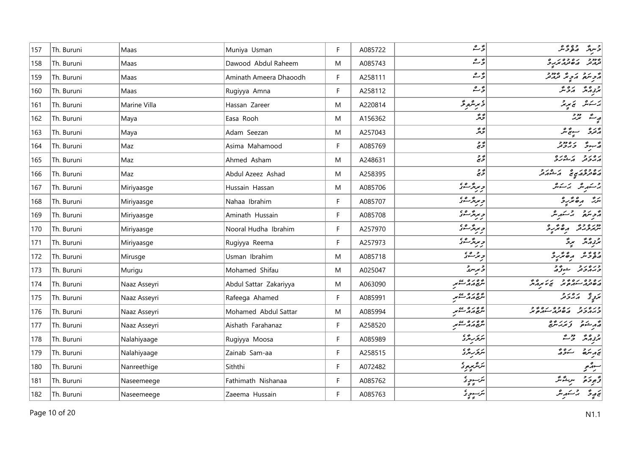| 157 | Th. Buruni | Maas         | Muniya Usman           | F         | A085722 | ۇ شە                                 | 3 ﺳﯧﯖﯩﺪﯗ ﻣﯘﯞﯨﺘﺮ                                                                                                                                                                                                                  |
|-----|------------|--------------|------------------------|-----------|---------|--------------------------------------|----------------------------------------------------------------------------------------------------------------------------------------------------------------------------------------------------------------------------------|
| 158 | Th. Buruni | Maas         | Dawood Abdul Raheem    | M         | A085743 | ۇ شە                                 | במר נסיכס ב                                                                                                                                                                                                                      |
| 159 | Th. Buruni | Maas         | Aminath Ameera Dhaoodh | F         | A258111 | ۇ شە                                 | أأد مرة أرو بر معدد                                                                                                                                                                                                              |
| 160 | Th. Buruni | Maas         | Rugiyya Amna           | F         | A258112 | ۇ شە                                 | بر <sub>قە</sub> مۇ مەھىر                                                                                                                                                                                                        |
| 161 | Th. Buruni | Marine Villa | Hassan Zareer          | ${\sf M}$ | A220814 | ۇ <sub>مرى</sub> تر <sub>ىر</sub> ئە | پرستانش سچ پیریتر                                                                                                                                                                                                                |
| 162 | Th. Buruni | Maya         | Easa Rooh              | ${\sf M}$ | A156362 | ريج                                  | ار مشهور دور<br>ا                                                                                                                                                                                                                |
| 163 | Th. Buruni | Maya         | Adam Seezan            | ${\sf M}$ | A257043 | ريجر                                 | أرزو سوء مر                                                                                                                                                                                                                      |
| 164 | Th. Buruni | Maz          | Asima Mahamood         | F         | A085769 | و و<br>تریخ                          | ه به ده دود                                                                                                                                                                                                                      |
| 165 | Th. Buruni | Maz          | Ahmed Asham            | ${\sf M}$ | A248631 | یو ج<br>حر <del>ی</del>              | رەرد كەشرە                                                                                                                                                                                                                       |
| 166 | Th. Buruni | Maz          | Abdul Azeez Ashad      | M         | A258395 | یو ج<br>حر <del>ی</del>              | גם כפג 2 בגם גריבי ה                                                                                                                                                                                                             |
| 167 | Th. Buruni | Miriyaasge   | Hussain Hassan         | M         | A085706 | دېرېژ مېچ<br>  <u>در</u>             | برسكريش برسكش                                                                                                                                                                                                                    |
| 168 | Th. Buruni | Miriyaasge   | Nahaa Ibrahim          | F         | A085707 | ى <i>ر بىر بىر مى</i><br>ئىرىر       | ير په موسوره<br>سربر موسور                                                                                                                                                                                                       |
| 169 | Th. Buruni | Miriyaasge   | Aminath Hussain        | F         | A085708 | حە بىر بىر مىسى<br>س                 | أدوسم بالمسكر                                                                                                                                                                                                                    |
| 170 | Th. Buruni | Miriyaasge   | Nooral Hudha Ibrahim   | F         | A257970 | ىر بىرە ئىسى<br>برىر                 | כבנים כשי הסיקים<br>ייתוניבויינה הסיקיים                                                                                                                                                                                         |
| 171 | Th. Buruni | Miriyaasge   | Rugiyya Reema          | F         | A257973 | حە بىر بىر مىسى<br>س                 | تر پر پر گر در مرگز<br>مرگزار مرگز                                                                                                                                                                                               |
| 172 | Th. Buruni | Mirusge      | Usman Ibrahim          | ${\sf M}$ | A085718 | د بر ۵ می                            |                                                                                                                                                                                                                                  |
| 173 | Th. Buruni | Murigu       | Mohamed Shifau         | M         | A025047 | 3 مرسر ?                             | כממכת בתלב                                                                                                                                                                                                                       |
| 174 | Th. Buruni | Naaz Asseyri | Abdul Sattar Zakariyya | M         | A063090 | پره بره <sub>عم</sub> ر              |                                                                                                                                                                                                                                  |
| 175 | Th. Buruni | Naaz Asseyri | Rafeega Ahamed         | F         | A085991 | الترج بروعيمبر<br> سرچ بروغيمبر      | أتروٍ يُحْ دَمَدُونَ الله                                                                                                                                                                                                        |
| 176 | Th. Buruni | Naaz Asseyri | Mohamed Abdul Sattar   | ${\sf M}$ | A085994 | پره ره <u>،،</u><br>سرچ مرمر شومبر   | כנסני נסיכם נספיכ<br>כגונכת גםתוג המפיג                                                                                                                                                                                          |
| 177 | Th. Buruni | Naaz Asseyri | Aishath Farahanaz      | F         | A258520 | ر و ده ده می<br>مربع د د شومر        | ومرشوم وترريح                                                                                                                                                                                                                    |
| 178 | Th. Buruni | Nalahiyaage  | Rugiyya Moosa          | F         | A085989 | يؤثر پر                              | بر <sub>و</sub> مبر دم                                                                                                                                                                                                           |
| 179 | Th. Buruni | Nalahiyaage  | Zainab Sam-aa          | F         | A258515 | ىر ئەرەرى<br>مىر ئىرىرى              | ستردمجه<br>تأمر سكرة                                                                                                                                                                                                             |
| 180 | Th. Buruni | Nanreethige  | Siththi                | F         | A072482 | ىئەمىر<br>مىرىئىرمو ئ                |                                                                                                                                                                                                                                  |
| 181 | Th. Buruni | Naseemeege   | Fathimath Nishanaa     | F         | A085762 | ىئەسىرى<br>ئ                         | سره و در داران در این داران در این داران در این داران در این داران در این داران در این داران در این داران در ا<br>از جرد در این داران در این داران در این داران در این داران در این داران در این داران داران داران داران داران د |
| 182 | Th. Buruni | Naseemeege   | Zaeema Hussain         | F         | A085763 | ىئەسىرى<br>ئەس                       |                                                                                                                                                                                                                                  |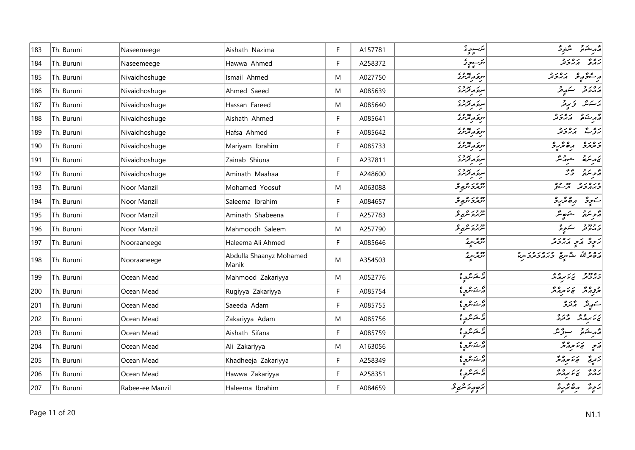| 183 | Th. Buruni | Naseemeege      | Aishath Nazima                   | F  | A157781 | ىئرسوچ <sup>ى</sup><br>ئىستىم                                                                                                                                                                                                                                                                                                                  | و ديده شمېرځ<br>مدينه شمېرځ                                                                       |
|-----|------------|-----------------|----------------------------------|----|---------|------------------------------------------------------------------------------------------------------------------------------------------------------------------------------------------------------------------------------------------------------------------------------------------------------------------------------------------------|---------------------------------------------------------------------------------------------------|
| 184 | Th. Buruni | Naseemeege      | Hawwa Ahmed                      | F  | A258372 | ىئەسىرى<br>كەنبە                                                                                                                                                                                                                                                                                                                               | ره ده رورد                                                                                        |
| 185 | Th. Buruni | Nivaidhoshuge   | Ismail Ahmed                     | M  | A027750 | سرچە جە د ي<br>سرچە پەقىرس                                                                                                                                                                                                                                                                                                                     | بر عرصي پر در د                                                                                   |
| 186 | Th. Buruni | Nivaidhoshuge   | Ahmed Saeed                      | M  | A085639 | سرکھ وقریری<br>سرکھ وقریری                                                                                                                                                                                                                                                                                                                     | رەرو ئەدەر                                                                                        |
| 187 | Th. Buruni | Nivaidhoshuge   | Hassan Fareed                    | M  | A085640 | سر تذکر پر د پر<br>سرچ مرفتر تر د                                                                                                                                                                                                                                                                                                              | برسكاش وكالميض                                                                                    |
| 188 | Th. Buruni | Nivaidhoshuge   | Aishath Ahmed                    | F  | A085641 | سرچە جە ج<br>سرچە سرچىرى                                                                                                                                                                                                                                                                                                                       | ه دره ده دورو                                                                                     |
| 189 | Th. Buruni | Nivaidhoshuge   | Hafsa Ahmed                      | F. | A085642 | سرچە جە جە<br>سرچە سرچىرى                                                                                                                                                                                                                                                                                                                      | برو به برەر د                                                                                     |
| 190 | Th. Buruni | Nivaidhoshuge   | Mariyam Ibrahim                  | F. | A085733 | سرچە جە جە<br>سرچە سرچىرى                                                                                                                                                                                                                                                                                                                      | ە ھەترىر ۋ<br>ر ه ر ه<br><del>د</del> بربرگ                                                       |
| 191 | Th. Buruni | Nivaidhoshuge   | Zainab Shiuna                    | F. | A237811 | سر بحر میر و <sup>ی</sup><br>مربع مرفتر مربی                                                                                                                                                                                                                                                                                                   | شەرقرىتگە<br>بر<br>تارىخ شى                                                                       |
| 192 | Th. Buruni | Nivaidhoshuge   | Aminath Maahaa                   | F. | A248600 | سرکھ ویر و ی                                                                                                                                                                                                                                                                                                                                   | رصيح<br>أرمز                                                                                      |
| 193 | Th. Buruni | Noor Manzil     | Mohamed Yoosuf                   | M  | A063088 | يز بر بر عربه بر                                                                                                                                                                                                                                                                                                                               | و ر ه ر د<br>د بر بر تر<br>دو پەر                                                                 |
| 194 | Th. Buruni | Noor Manzil     | Saleema Ibrahim                  | F  | A084657 | دو در ه عربه عه                                                                                                                                                                                                                                                                                                                                | برە ئۆرۈ<br>سەرچە                                                                                 |
| 195 | Th. Buruni | Noor Manzil     | Aminath Shabeena                 | F  | A257783 | يز در عربه ع                                                                                                                                                                                                                                                                                                                                   | أزويتكم شكويتر                                                                                    |
| 196 | Th. Buruni | Noor Manzil     | Mahmoodh Saleem                  | M  | A257790 | ەدىرە ھې ق                                                                                                                                                                                                                                                                                                                                     | ورووو كوو                                                                                         |
| 197 | Th. Buruni | Nooraaneege     | Haleema Ali Ahmed                | F  | A085646 | دوري په په<br>سرچرسي                                                                                                                                                                                                                                                                                                                           | پَرۡ پِرۡ پِرۡ پِرۡ وَ پِرۡ وَ پَرۡدِ وَ پِرۡدِ وَ پِرۡدِ وَ پِرۡدِ وَ پِرۡدِ وَ پِرۡدِ وَ پِرِیۡ |
| 198 | Th. Buruni | Nooraaneege     | Abdulla Shaanyz Mohamed<br>Manik | M  | A354503 | چېچىسى<br>سرىئەسىي                                                                                                                                                                                                                                                                                                                             | رەوزاللە ھۇسرچ دىرەدىردىن                                                                         |
| 199 | Th. Buruni | Ocean Mead      | Mahmood Zakariyya                | M  | A052776 | پر شه مر <sub>حی</sub> ؟                                                                                                                                                                                                                                                                                                                       | ג 2000 - 27 באברית                                                                                |
| 200 | Th. Buruni | Ocean Mead      | Rugiyya Zakariyya                | F  | A085754 | ارتشورهم                                                                                                                                                                                                                                                                                                                                       | י פי היות פי                                                                                      |
| 201 | Th. Buruni | Ocean Mead      | Saeeda Adam                      | F. | A085755 | الرشوهونج                                                                                                                                                                                                                                                                                                                                      | سَمِيعٌ مُرْمَرة                                                                                  |
| 202 | Th. Buruni | Ocean Mead      | Zakariyya Adam                   | M  | A085756 | ە ئەنگەرىمى<br>مەسىر                                                                                                                                                                                                                                                                                                                           | ב' באת היות                                                                                       |
| 203 | Th. Buruni | Ocean Mead      | Aishath Sifana                   | F. | A085759 | وسيكسفي                                                                                                                                                                                                                                                                                                                                        | ۇرىشقۇ سۆزىگە                                                                                     |
| 204 | Th. Buruni | Ocean Mead      | Ali Zakariyya                    | M  | A163056 | ئەسەئىر <sub>ى</sub> يى<br>                                                                                                                                                                                                                                                                                                                    |                                                                                                   |
| 205 | Th. Buruni | Ocean Mead      | Khadheeja Zakariyya              | F  | A258349 | وكستكر المحمد                                                                                                                                                                                                                                                                                                                                  | تر ورقعً<br>ى ئەسرە بىر                                                                           |
| 206 | Th. Buruni | Ocean Mead      | Hawwa Zakariyya                  | F  | A258351 | $\sqrt[2]{\sum_{i=1}^{n} \sum_{j=1}^{n} \sum_{j=1}^{n} \sum_{j=1}^{n} \sum_{j=1}^{n} \sum_{j=1}^{n} \sum_{j=1}^{n} \sum_{j=1}^{n} \sum_{j=1}^{n} \sum_{j=1}^{n} \sum_{j=1}^{n} \sum_{j=1}^{n} \sum_{j=1}^{n} \sum_{j=1}^{n} \sum_{j=1}^{n} \sum_{j=1}^{n} \sum_{j=1}^{n} \sum_{j=1}^{n} \sum_{j=1}^{n} \sum_{j=1}^{n} \sum_{j=1}^{n} \sum_{j=$ | برەپچ<br>ئە ئەسرە بىر                                                                             |
| 207 | Th. Buruni | Rabee-ee Manzil | Haleema Ibrahim                  | F. | A084659 | ىئەم ئەشىر ۋ                                                                                                                                                                                                                                                                                                                                   | بزود مقترره                                                                                       |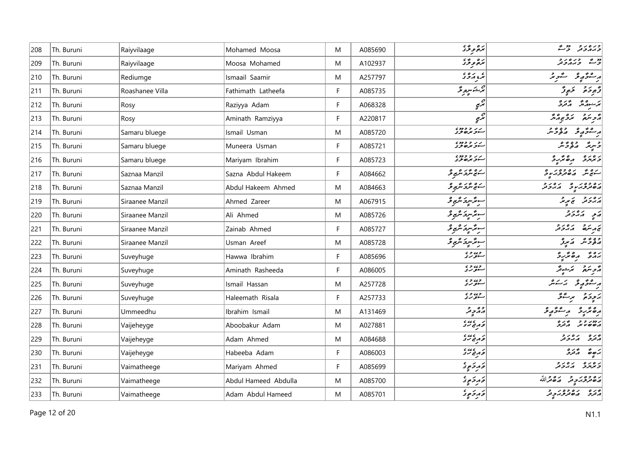| 208 | Th. Buruni | Raiyvilaage     | Mohamed Moosa        | M         | A085690 | ره وي<br>مر <sub>حو</sub> مونځ           | وره دو دورمج                              |
|-----|------------|-----------------|----------------------|-----------|---------|------------------------------------------|-------------------------------------------|
| 209 | Th. Buruni | Raiyvilaage     | Moosa Mohamed        | ${\sf M}$ | A102937 | ىر ە<br>ئىرقومونتى ئ                     | و رە ر د<br><i>د بر</i> گرىز<br>تر مشتر م |
| 210 | Th. Buruni | Rediumge        | Ismaail Saamir       | ${\sf M}$ | A257797 | ې ده وه<br>مرغ د د                       | ر شۇر ئەر ئىلىمىتى ئىلىمىتى بىر           |
| 211 | Th. Buruni | Roashanee Villa | Fathimath Latheefa   | F         | A085735 | ە<br>ئىرىشە يېرىرى <i>گە</i>             | وٌ جو حر ح<br>ځږوگړ                       |
| 212 | Th. Buruni | Rosy            | Raziyya Adam         | F         | A068328 | ه<br>موسمح                               | ر<br>بر نسور در<br>ەرگەر                  |
| 213 | Th. Buruni | Rosy            | Aminath Ramziyya     | F         | A220817 | لهيمج                                    | הבתב הכתבי                                |
| 214 | Th. Buruni | Samaru bluege   | Ismail Usman         | M         | A085720 | ر ر د د ده د<br>سرگر <i>ه و</i> ر        | و عۇرپۇ ھۆرگىر                            |
| 215 | Th. Buruni | Samaru bluege   | Muneera Usman        | F         | A085721 | ر ر د د ده د<br>سرد بره مرد              | د پېر ده ده.                              |
| 216 | Th. Buruni | Samaru bluege   | Mariyam Ibrahim      | F         | A085723 | ر ر د د ده د<br>ستوسره مور               | ومره مصرور                                |
| 217 | Th. Buruni | Saznaa Manzil   | Sazna Abdul Hakeem   | F         | A084662 | رىم ئ <sup>ې</sup> رىم ئې ئ <sub>ى</sub> | ره د بره ده ر ه<br>سوی ش پره ترڅ پر د     |
| 218 | Th. Buruni | Saznaa Manzil   | Abdul Hakeem Ahmed   | M         | A084663 | رە پەير ھ <sub>ى</sub> ۋ                 | גם כפגם הפגב<br>הפת <i>בה</i> עב ההכת     |
| 219 | Th. Buruni | Siraanee Manzil | Ahmed Zareer         | M         | A067915 | سەئىبىرۇ ئىب <sub>و</sub> گر             | أرور و بربر و                             |
| 220 | Th. Buruni | Siraanee Manzil | Ali Ahmed            | M         | A085726 | – ئەسىرى ئىرى ئىلىرى ئىلىر               | أقدم ويرود                                |
| 221 | Th. Buruni | Siraanee Manzil | Zainab Ahmed         | F         | A085727 | سىتر سەن ش <sub>ىر</sub> ۋ               | يم مرة مدور                               |
| 222 | Th. Buruni | Siraanee Manzil | Usman Areef          | ${\sf M}$ | A085728 | سەئىبىرۇ ئىب <sub>و</sub> قر             | ەم ئەيروپو                                |
| 223 | Th. Buruni | Suveyhuge       | Hawwa Ibrahim        | F         | A085696 | وړ، و ،<br>سعو ر <sub>ک</sub>            |                                           |
| 224 | Th. Buruni | Suveyhuge       | Aminath Rasheeda     | F         | A086005 | وړ، و ،<br>سعو ر <sub>ک</sub>            | أأترجع أترسيقه                            |
| 225 | Th. Buruni | Suveyhuge       | Ismail Hassan        | M         | A257728 | وړ، و ،<br>سعو ر <sub>ک</sub>            | رىقۇر ئەسەر                               |
| 226 | Th. Buruni | Suveyhuge       | Haleemath Risala     | F         | A257733 | وړ، و ،<br>سعو ر <sub>ک</sub>            | رَمْ دِرَهْ وَمَسَوَّرَ                   |
| 227 | Th. Buruni | Ummeedhu        | Ibrahim Ismail       | ${\sf M}$ | A131469 | ده د پر                                  | رە ئۈرۈ<br>مەستۇم بۇ                      |
| 228 | Th. Buruni | Vaijeheyge      | Aboobakur Adam       | M         | A027881 | ر<br>تو دي ري                            | ג דרג ר<br>1. סיס מ' מ<br>پەر ە<br>مەنىرى |
| 229 | Th. Buruni | Vaijeheyge      | Adam Ahmed           | ${\sf M}$ | A084688 | ر<br>تو دي ري                            | پروژو<br>پھر و<br>مرکور                   |
| 230 | Th. Buruni | Vaijeheyge      | Habeeba Adam         | F         | A086003 | ر<br>تو دي ري                            | برَحة مترده                               |
| 231 | Th. Buruni | Vaimatheege     | Mariyam Ahmed        | F         | A085699 | ر<br>وګړو <sub>مو</sub> ر                | נסנס נסנד<br>בינונים הנכנ                 |
| 232 | Th. Buruni | Vaimatheege     | Abdul Hameed Abdulla | M         | A085700 | ر<br>قەر قەمى                            | رە دەبر دە سەھىراللە                      |
| 233 | Th. Buruni | Vaimatheege     | Adam Abdul Hameed    | ${\sf M}$ | A085701 | ىر مەسىرى<br>مەسرىقى                     | وره ده وه د و<br>مهرو مصر دیگر            |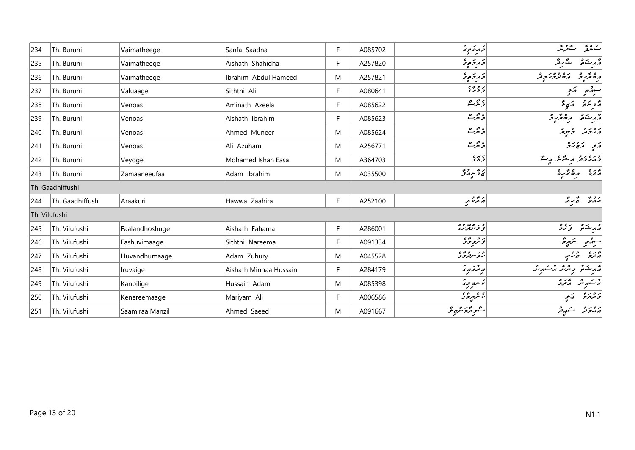| 234 | Th. Buruni       | Vaimatheege     | Sanfa Saadna           | F | A085702 | ئەمرىز م <sub>ۇ</sub> ئ        | سەدرىتر<br>سەھەتە                                       |
|-----|------------------|-----------------|------------------------|---|---------|--------------------------------|---------------------------------------------------------|
| 235 | Th. Buruni       | Vaimatheege     | Aishath Shahidha       | F | A257820 | ر<br>د مرځ مونه                | ستشررتش<br>و در منده<br>مرد منده                        |
| 236 | Th. Buruni       | Vaimatheege     | Ibrahim Abdul Hameed   | M | A257821 | ر<br>د مرځ مونه                | رە دەر د<br>مەھىرى <i>رى</i> رىتر<br>مەھمەرچ            |
| 237 | Th. Buruni       | Valuaage        | Siththi Ali            | F | A080641 | ر و د »<br>و <del>و</del> پر د | سوړه په<br>رژمو                                         |
| 238 | Th. Buruni       | Venoas          | Aminath Azeela         | F | A085622 | ء جرمہ<br>                     | ړ د سرچ<br>ە ئىم ئۇ                                     |
| 239 | Th. Buruni       | Venoas          | Aishath Ibrahim        | F | A085623 | ءِ سُرتہ                       | پچ پر شک <sub>ھ</sub><br>حر<br>ەھ ئەرب                  |
| 240 | Th. Buruni       | Venoas          | Ahmed Muneer           | M | A085624 | ءچرے                           | ح سر پر گ<br>بر 2 د تر<br>ا <i>ر</i> بر <del>د</del> تر |
| 241 | Th. Buruni       | Venoas          | Ali Azuham             | M | A256771 | ء جرعه                         | $5.21$ $2.7$                                            |
| 242 | Th. Buruni       | Veyoge          | Mohamed Ishan Easa     | M | A364703 | ئ يو ئ<br>  تو پور ئ           | ورەرو مەشھ مەڭ                                          |
| 243 | Th. Buruni       | Zamaaneeufaa    | Adam Ibrahim           | M | A035500 | ئ ۇ سرچە ئى                    | أرمزد مصربر                                             |
|     | Th. Gaadhiffushi |                 |                        |   |         |                                |                                                         |
| 244 | Th. Gaadhiffushi | Araakuri        | Hawwa Zaahira          | F | A252100 | لرعزة ببر                      | ره ده پخ رنگ                                            |
|     | Th. Vilufushi    |                 |                        |   |         |                                |                                                         |
| 245 | Th. Vilufushi    | Faalandhoshuge  | Aishath Fahama         | F | A286001 | ء ر ەيد د ،<br>توفرس تر        | ھ مرشومی<br>م<br>ۇژۇ                                    |
| 246 | Th. Vilufushi    | Fashuvimaage    | Siththi Nareema        | F | A091334 | ر ج ره په <sup>ي</sup>         | سورصحر<br>سرىبرۇ                                        |
| 247 | Th. Vilufushi    | Huvandhumaage   | Adam Zuhury            | M | A045528 | و ر په ده ده<br>رو سربرو د     | أأرمز وحمير                                             |
| 248 | Th. Vilufushi    | Iruvaige        | Aishath Minnaa Hussain | F | A284179 | لربره زبر                      | ەر ئەق جامەش بر سەر ش                                   |
| 249 | Th. Vilufushi    | Kanbilige       | Hussain Adam           | M | A085398 | ر<br>را سرچ وي<br>- -          | لجرسئهرىثر<br>پور ہ<br>مرکزو                            |
| 250 | Th. Vilufushi    | Kenereemaage    | Mariyam Ali            | F | A006586 | ې ممبرخ <sub>ک</sub>           | ئەتەر ۋ<br>رزمر                                         |
| 251 | Th. Vilufushi    | Saamiraa Manzil | Ahmed Saeed            | M | A091667 | گەچە ئۇچە ئىرى ئى              | ره رو شهرتر                                             |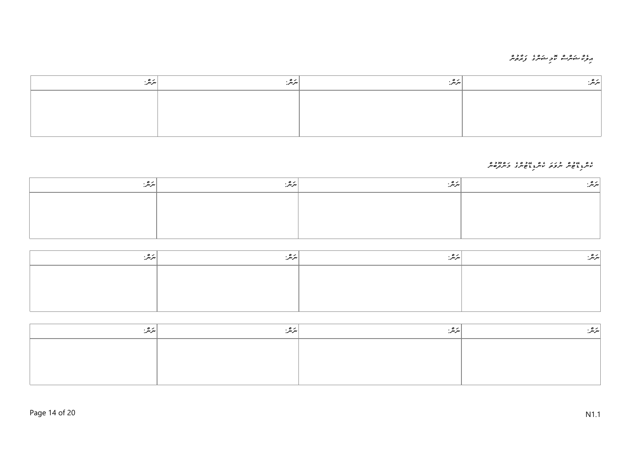## *w7qAn8m? sCw7mRo>u; wEw7mRw;sBo<*

| ' مرمر | 'يئرىثر: |
|--------|----------|
|        |          |
|        |          |
|        |          |

## *w7q9r@w7m> sCw7qHtFoFw7s; mAm=q7 w7qHtFoFw7s;*

| ىر تە | $\mathcal{O} \times$<br>$\sim$ | $\sim$<br>. . | لترنثر |
|-------|--------------------------------|---------------|--------|
|       |                                |               |        |
|       |                                |               |        |
|       |                                |               |        |

| $\frac{2}{n}$ | $\overline{\phantom{a}}$ | اير هنه. | $\mathcal{O} \times$<br>سرسر |
|---------------|--------------------------|----------|------------------------------|
|               |                          |          |                              |
|               |                          |          |                              |
|               |                          |          |                              |

| ' ئىرتىر: | سر سر |  |
|-----------|-------|--|
|           |       |  |
|           |       |  |
|           |       |  |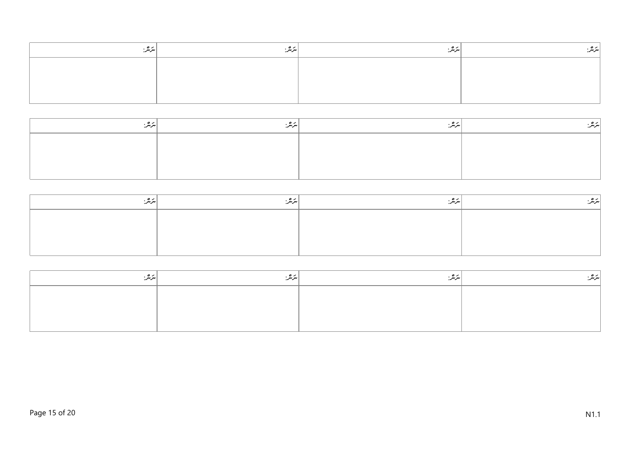| يره. | ο. | ا ير ه |  |
|------|----|--------|--|
|      |    |        |  |
|      |    |        |  |
|      |    |        |  |

| متريثر به | 。<br>'سرسر'۔ | يتزيترا | سرسر |
|-----------|--------------|---------|------|
|           |              |         |      |
|           |              |         |      |
|           |              |         |      |

| ىئرىتر. | $\sim$ | ا بر هه. | لىرىش |
|---------|--------|----------|-------|
|         |        |          |       |
|         |        |          |       |
|         |        |          |       |

| يترمثر | $^{\circ}$ | ىر پىر |
|--------|------------|--------|
|        |            |        |
|        |            |        |
|        |            |        |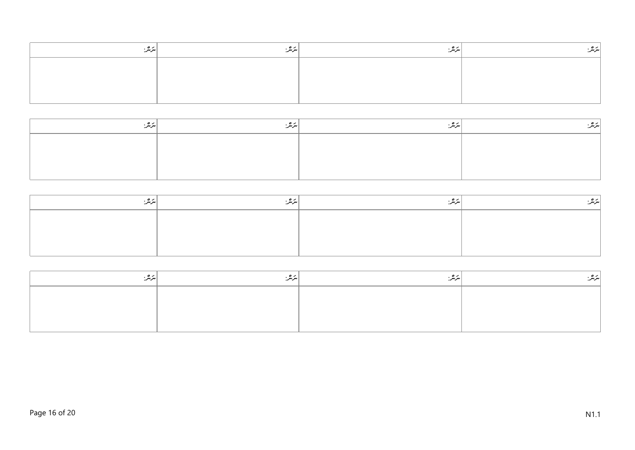| ير هو . | $\overline{\phantom{a}}$ | يرمر | اير هنه. |
|---------|--------------------------|------|----------|
|         |                          |      |          |
|         |                          |      |          |
|         |                          |      |          |

| ىر تىر: | $\circ$ $\sim$<br>" سرسر . | يبرحه | o . |
|---------|----------------------------|-------|-----|
|         |                            |       |     |
|         |                            |       |     |
|         |                            |       |     |

| 'تترنثر: | ر ه |  |
|----------|-----|--|
|          |     |  |
|          |     |  |
|          |     |  |

|  | . ه |
|--|-----|
|  |     |
|  |     |
|  |     |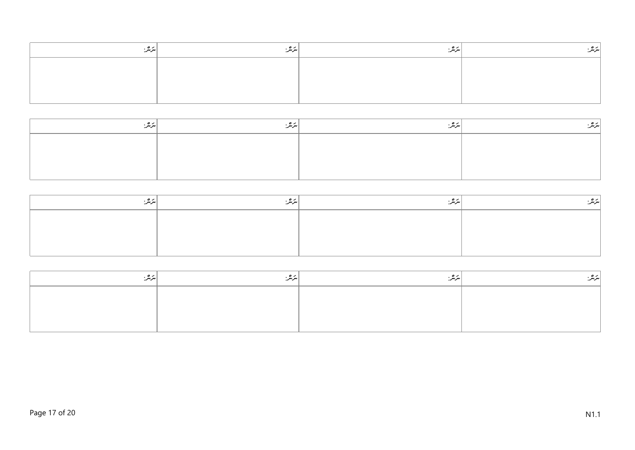| ير هو . | $\overline{\phantom{a}}$ | يرمر | اير هنه. |
|---------|--------------------------|------|----------|
|         |                          |      |          |
|         |                          |      |          |
|         |                          |      |          |

| ئىرتىر: | $\sim$<br>ا سرسر . | يئرمثر | o . |
|---------|--------------------|--------|-----|
|         |                    |        |     |
|         |                    |        |     |
|         |                    |        |     |

| 'تترنثر: | ر ه |  |
|----------|-----|--|
|          |     |  |
|          |     |  |
|          |     |  |

|  | . ه |
|--|-----|
|  |     |
|  |     |
|  |     |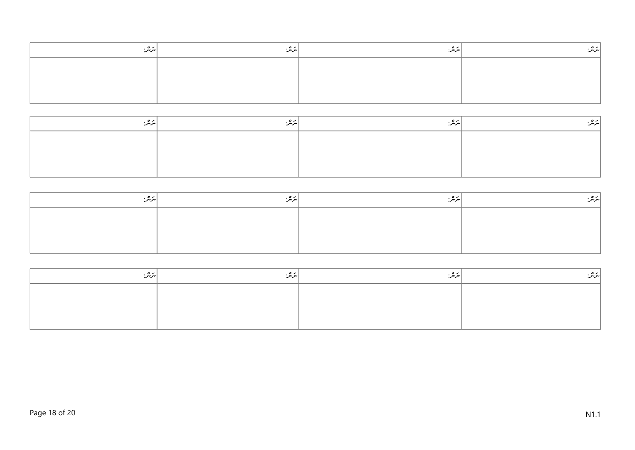| $\cdot$ | 。 | $\frac{\circ}{\cdot}$ | $\sim$<br>سرسر |
|---------|---|-----------------------|----------------|
|         |   |                       |                |
|         |   |                       |                |
|         |   |                       |                |

| ايرعر: | ر ه<br>. . |  |
|--------|------------|--|
|        |            |  |
|        |            |  |
|        |            |  |

| بر ه | . ه | $\sim$<br>سرسر |  |
|------|-----|----------------|--|
|      |     |                |  |
|      |     |                |  |
|      |     |                |  |

| 。<br>. س | ىرىىر |  |
|----------|-------|--|
|          |       |  |
|          |       |  |
|          |       |  |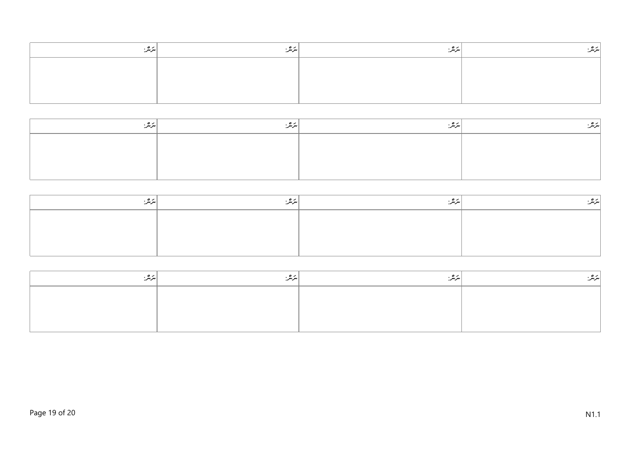| ير هو . | $\overline{\phantom{a}}$ | يرمر | اير هنه. |
|---------|--------------------------|------|----------|
|         |                          |      |          |
|         |                          |      |          |
|         |                          |      |          |

| ىر تىر: | $\circ$ $\sim$<br>" سرسر . | يبرحه | o . |
|---------|----------------------------|-------|-----|
|         |                            |       |     |
|         |                            |       |     |
|         |                            |       |     |

| انترنثر: | ر ه |  |
|----------|-----|--|
|          |     |  |
|          |     |  |
|          |     |  |

|  | . ه |
|--|-----|
|  |     |
|  |     |
|  |     |